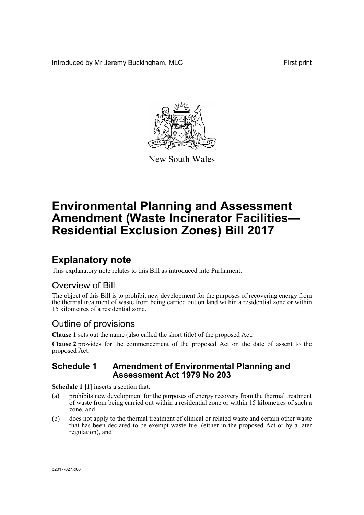Introduced by Mr Jeremy Buckingham, MLC First print



New South Wales

# **Environmental Planning and Assessment Amendment (Waste Incinerator Facilities— Residential Exclusion Zones) Bill 2017**

# **Explanatory note**

This explanatory note relates to this Bill as introduced into Parliament.

# Overview of Bill

The object of this Bill is to prohibit new development for the purposes of recovering energy from the thermal treatment of waste from being carried out on land within a residential zone or within 15 kilometres of a residential zone.

# Outline of provisions

**Clause 1** sets out the name (also called the short title) of the proposed Act.

**Clause 2** provides for the commencement of the proposed Act on the date of assent to the proposed Act.

## **Schedule 1 Amendment of Environmental Planning and Assessment Act 1979 No 203**

**Schedule 1 [1]** inserts a section that:

- (a) prohibits new development for the purposes of energy recovery from the thermal treatment of waste from being carried out within a residential zone or within 15 kilometres of such a zone, and
- (b) does not apply to the thermal treatment of clinical or related waste and certain other waste that has been declared to be exempt waste fuel (either in the proposed Act or by a later regulation), and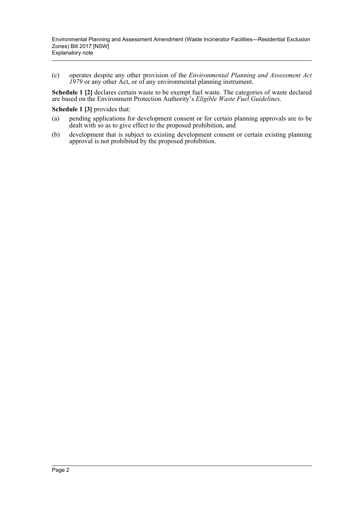(c) operates despite any other provision of the *Environmental Planning and Assessment Act 1979* or any other Act, or of any environmental planning instrument.

**Schedule 1 [2]** declares certain waste to be exempt fuel waste. The categories of waste declared are based on the Environment Protection Authority's *Eligible Waste Fuel Guidelines*.

**Schedule 1 [3]** provides that:

- (a) pending applications for development consent or for certain planning approvals are to be dealt with so as to give effect to the proposed prohibition, and
- (b) development that is subject to existing development consent or certain existing planning approval is not prohibited by the proposed prohibition.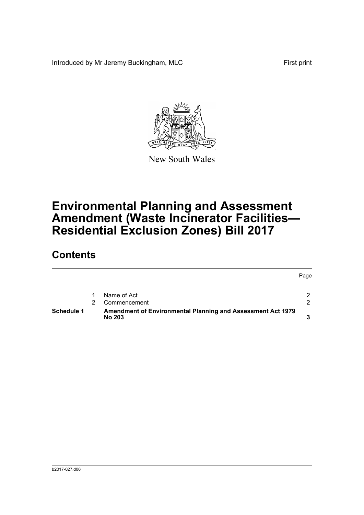Introduced by Mr Jeremy Buckingham, MLC First print



New South Wales

# **Environmental Planning and Assessment Amendment (Waste Incinerator Facilities— Residential Exclusion Zones) Bill 2017**

# **Contents**

|            |                                                                              | Page |
|------------|------------------------------------------------------------------------------|------|
|            | Name of Act                                                                  | 2    |
|            | Commencement                                                                 | ົ    |
| Schedule 1 | Amendment of Environmental Planning and Assessment Act 1979<br><b>No 203</b> |      |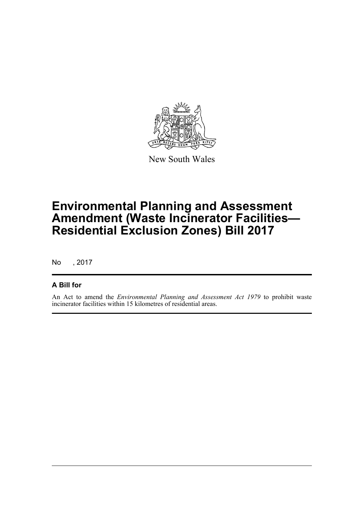

New South Wales

# **Environmental Planning and Assessment Amendment (Waste Incinerator Facilities— Residential Exclusion Zones) Bill 2017**

No , 2017

## **A Bill for**

An Act to amend the *Environmental Planning and Assessment Act 1979* to prohibit waste incinerator facilities within 15 kilometres of residential areas.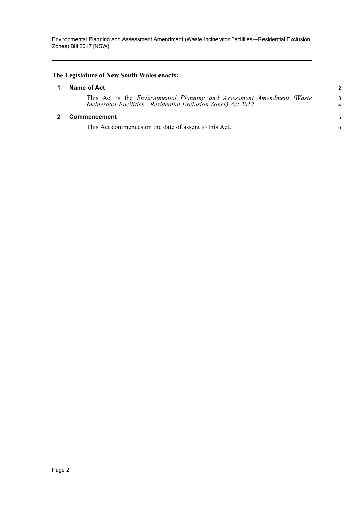<span id="page-4-1"></span><span id="page-4-0"></span>

| The Legislature of New South Wales enacts:                                                                                                     |                |
|------------------------------------------------------------------------------------------------------------------------------------------------|----------------|
| Name of Act                                                                                                                                    | $\overline{c}$ |
| This Act is the <i>Environmental Planning and Assessment Amendment (Waste</i><br>Incinerator Facilities-Residential Exclusion Zones) Act 2017. | 3<br>4         |
| <b>Commencement</b>                                                                                                                            | 5              |
| This Act commences on the date of assent to this Act.                                                                                          | 6              |
|                                                                                                                                                |                |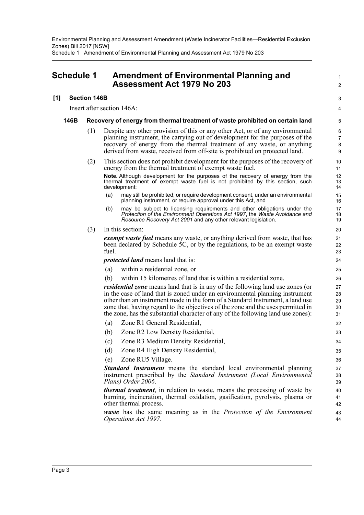Environmental Planning and Assessment Amendment (Waste Incinerator Facilities—Residential Exclusion Zones) Bill 2017 [NSW] Schedule 1 Amendment of Environmental Planning and Assessment Act 1979 No 203

## <span id="page-5-0"></span>**Schedule 1 Amendment of Environmental Planning and Assessment Act 1979 No 203**

### **[1] Section 146B**

Insert after section 146A:

#### **146B Recovery of energy from thermal treatment of waste prohibited on certain land**

(1) Despite any other provision of this or any other Act, or of any environmental planning instrument, the carrying out of development for the purposes of the recovery of energy from the thermal treatment of any waste, or anything derived from waste, received from off-site is prohibited on protected land.

1  $\overline{2}$ 

3 4

- (2) This section does not prohibit development for the purposes of the recovery of energy from the thermal treatment of exempt waste fuel. **Note.** Although development for the purposes of the recovery of energy from the thermal treatment of exempt waste fuel is not prohibited by this section, such development:
	- (a) may still be prohibited, or require development consent, under an environmental planning instrument, or require approval under this Act, and
	- (b) may be subject to licensing requirements and other obligations under the *Protection of the Environment Operations Act 1997*, the *Waste Avoidance and Resource Recovery Act 2001* and any other relevant legislation.
- (3) In this section:

*exempt waste fuel* means any waste, or anything derived from waste, that has been declared by Schedule 5C, or by the regulations, to be an exempt waste fuel.

*protected land* means land that is:

- (a) within a residential zone, or
- (b) within 15 kilometres of land that is within a residential zone.

*residential zone* means land that is in any of the following land use zones (or in the case of land that is zoned under an environmental planning instrument other than an instrument made in the form of a Standard Instrument, a land use zone that, having regard to the objectives of the zone and the uses permitted in the zone, has the substantial character of any of the following land use zones):

- (a) Zone R1 General Residential,
- (b) Zone R2 Low Density Residential,
- (c) Zone R3 Medium Density Residential,
- (d) Zone R4 High Density Residential,
- (e) Zone RU5 Village.

*Standard Instrument* means the standard local environmental planning instrument prescribed by the *Standard Instrument (Local Environmental Plans) Order 2006*.

*thermal treatment*, in relation to waste, means the processing of waste by burning, incineration, thermal oxidation, gasification, pyrolysis, plasma or other thermal process.

*waste* has the same meaning as in the *Protection of the Environment Operations Act 1997*.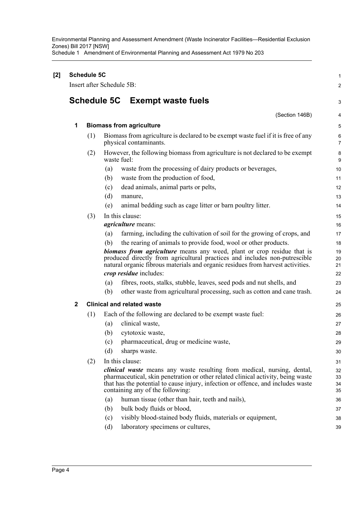Environmental Planning and Assessment Amendment (Waste Incinerator Facilities—Residential Exclusion Zones) Bill 2017 [NSW] Schedule 1 Amendment of Environmental Planning and Assessment Act 1979 No 203

| [2] | <b>Schedule 5C</b><br>Insert after Schedule 5B: |     |             |                                                                                                                                                                                                                                                                                            |                      |
|-----|-------------------------------------------------|-----|-------------|--------------------------------------------------------------------------------------------------------------------------------------------------------------------------------------------------------------------------------------------------------------------------------------------|----------------------|
|     |                                                 |     |             |                                                                                                                                                                                                                                                                                            | 2                    |
|     | <b>Schedule 5C</b><br><b>Exempt waste fuels</b> |     |             |                                                                                                                                                                                                                                                                                            |                      |
|     |                                                 |     |             | (Section 146B)                                                                                                                                                                                                                                                                             | 4                    |
|     | 1                                               |     |             | <b>Biomass from agriculture</b>                                                                                                                                                                                                                                                            | 5                    |
|     |                                                 | (1) |             | Biomass from agriculture is declared to be exempt waste fuel if it is free of any<br>physical contaminants.                                                                                                                                                                                | 6<br>$\overline{7}$  |
|     |                                                 | (2) | waste fuel: | However, the following biomass from agriculture is not declared to be exempt                                                                                                                                                                                                               | 8<br>9               |
|     |                                                 |     | (a)         | waste from the processing of dairy products or beverages,                                                                                                                                                                                                                                  | 10                   |
|     |                                                 |     | (b)         | waste from the production of food,                                                                                                                                                                                                                                                         | 11                   |
|     |                                                 |     | (c)         | dead animals, animal parts or pelts,                                                                                                                                                                                                                                                       | 12                   |
|     |                                                 |     | (d)         | manure,                                                                                                                                                                                                                                                                                    | 13                   |
|     |                                                 |     | (e)         | animal bedding such as cage litter or barn poultry litter.                                                                                                                                                                                                                                 | 14                   |
|     |                                                 | (3) |             | In this clause:                                                                                                                                                                                                                                                                            | 15                   |
|     |                                                 |     |             | <i>agriculture</i> means:                                                                                                                                                                                                                                                                  | 16                   |
|     |                                                 |     | (a)         | farming, including the cultivation of soil for the growing of crops, and                                                                                                                                                                                                                   | 17                   |
|     |                                                 |     | (b)         | the rearing of animals to provide food, wool or other products.                                                                                                                                                                                                                            | 18                   |
|     |                                                 |     |             | <b>biomass from agriculture</b> means any weed, plant or crop residue that is<br>produced directly from agricultural practices and includes non-putrescible<br>natural organic fibrous materials and organic residues from harvest activities.                                             | 19<br>20<br>21       |
|     |                                                 |     |             | <i>crop residue</i> includes:                                                                                                                                                                                                                                                              | 22                   |
|     |                                                 |     | (a)         | fibres, roots, stalks, stubble, leaves, seed pods and nut shells, and                                                                                                                                                                                                                      | 23                   |
|     |                                                 |     | (b)         | other waste from agricultural processing, such as cotton and cane trash.                                                                                                                                                                                                                   | 24                   |
|     | $\mathbf 2$                                     |     |             | <b>Clinical and related waste</b>                                                                                                                                                                                                                                                          | 25                   |
|     |                                                 | (1) |             | Each of the following are declared to be exempt waste fuel:                                                                                                                                                                                                                                | 26                   |
|     |                                                 |     | (a)         | clinical waste,                                                                                                                                                                                                                                                                            | 27                   |
|     |                                                 |     | (b)         | cytotoxic waste,                                                                                                                                                                                                                                                                           | 28                   |
|     |                                                 |     |             | (c) pharmaceutical, drug or medicine waste,                                                                                                                                                                                                                                                | 29                   |
|     |                                                 |     | (d)         | sharps waste.                                                                                                                                                                                                                                                                              | 30                   |
|     |                                                 | (2) |             | In this clause:                                                                                                                                                                                                                                                                            | 31                   |
|     |                                                 |     |             | <i>clinical waste</i> means any waste resulting from medical, nursing, dental,<br>pharmaceutical, skin penetration or other related clinical activity, being waste<br>that has the potential to cause injury, infection or offence, and includes waste<br>containing any of the following: | 32<br>33<br>34<br>35 |
|     |                                                 |     | (a)         | human tissue (other than hair, teeth and nails),                                                                                                                                                                                                                                           | 36                   |
|     |                                                 |     | (b)         | bulk body fluids or blood,                                                                                                                                                                                                                                                                 | 37                   |
|     |                                                 |     | (c)         | visibly blood-stained body fluids, materials or equipment,                                                                                                                                                                                                                                 | 38                   |
|     |                                                 |     | (d)         | laboratory specimens or cultures,                                                                                                                                                                                                                                                          | 39                   |
|     |                                                 |     |             |                                                                                                                                                                                                                                                                                            |                      |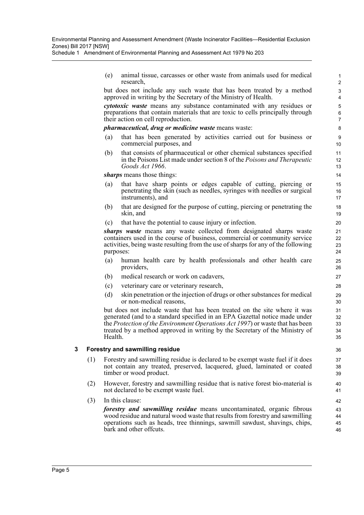Schedule 1 Amendment of Environmental Planning and Assessment Act 1979 No 203

(e) animal tissue, carcasses or other waste from animals used for medical research,

but does not include any such waste that has been treated by a method approved in writing by the Secretary of the Ministry of Health.

*cytotoxic waste* means any substance contaminated with any residues or preparations that contain materials that are toxic to cells principally through their action on cell reproduction.

#### *pharmaceutical, drug or medicine waste* means waste:

- (a) that has been generated by activities carried out for business or commercial purposes, and
- (b) that consists of pharmaceutical or other chemical substances specified in the Poisons List made under section 8 of the *Poisons and Therapeutic Goods Act 1966*.

*sharps* means those things:

- (a) that have sharp points or edges capable of cutting, piercing or penetrating the skin (such as needles, syringes with needles or surgical instruments), and
- (b) that are designed for the purpose of cutting, piercing or penetrating the skin, and
- (c) that have the potential to cause injury or infection.

*sharps waste* means any waste collected from designated sharps waste containers used in the course of business, commercial or community service activities, being waste resulting from the use of sharps for any of the following purposes:

- (a) human health care by health professionals and other health care providers,
- (b) medical research or work on cadavers,
- (c) veterinary care or veterinary research,
- (d) skin penetration or the injection of drugs or other substances for medical or non-medical reasons,

but does not include waste that has been treated on the site where it was generated (and to a standard specified in an EPA Gazettal notice made under the *Protection of the Environment Operations Act 1997*) or waste that has been treated by a method approved in writing by the Secretary of the Ministry of Health.

#### **3 Forestry and sawmilling residue**

- (1) Forestry and sawmilling residue is declared to be exempt waste fuel if it does not contain any treated, preserved, lacquered, glued, laminated or coated timber or wood product.
- (2) However, forestry and sawmilling residue that is native forest bio-material is not declared to be exempt waste fuel.
- (3) In this clause:

*forestry and sawmilling residue* means uncontaminated, organic fibrous wood residue and natural wood waste that results from forestry and sawmilling operations such as heads, tree thinnings, sawmill sawdust, shavings, chips, bark and other offcuts.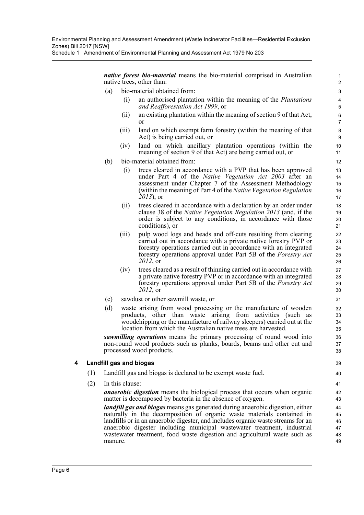Environmental Planning and Assessment Amendment (Waste Incinerator Facilities—Residential Exclusion Zones) Bill 2017 [NSW]

Schedule 1 Amendment of Environmental Planning and Assessment Act 1979 No 203

*native forest bio-material* means the bio-material comprised in Australian native trees, other than:

- (a) bio-material obtained from:
	- (i) an authorised plantation within the meaning of the *Plantations and Reafforestation Act 1999*, or

- (ii) an existing plantation within the meaning of section 9 of that Act, or
- (iii) land on which exempt farm forestry (within the meaning of that Act) is being carried out, or
- (iv) land on which ancillary plantation operations (within the meaning of section 9 of that Act) are being carried out, or
- (b) bio-material obtained from:
	- (i) trees cleared in accordance with a PVP that has been approved under Part 4 of the *Native Vegetation Act 2003* after an assessment under Chapter 7 of the Assessment Methodology (within the meaning of Part 4 of the *Native Vegetation Regulation 2013*), or
	- (ii) trees cleared in accordance with a declaration by an order under clause 38 of the *Native Vegetation Regulation 2013* (and, if the order is subject to any conditions, in accordance with those conditions), or
	- (iii) pulp wood logs and heads and off-cuts resulting from clearing carried out in accordance with a private native forestry PVP or forestry operations carried out in accordance with an integrated forestry operations approval under Part 5B of the *Forestry Act 2012*, or
	- (iv) trees cleared as a result of thinning carried out in accordance with a private native forestry PVP or in accordance with an integrated forestry operations approval under Part 5B of the *Forestry Act 2012*, or
- (c) sawdust or other sawmill waste, or
- (d) waste arising from wood processing or the manufacture of wooden products, other than waste arising from activities (such as woodchipping or the manufacture of railway sleepers) carried out at the location from which the Australian native trees are harvested.

*sawmilling operations* means the primary processing of round wood into non-round wood products such as planks, boards, beams and other cut and processed wood products.

### **4 Landfill gas and biogas**

- (1) Landfill gas and biogas is declared to be exempt waste fuel.
- (2) In this clause:

*anaerobic digestion* means the biological process that occurs when organic matter is decomposed by bacteria in the absence of oxygen.

*landfill gas and biogas* means gas generated during anaerobic digestion, either naturally in the decomposition of organic waste materials contained in landfills or in an anaerobic digester, and includes organic waste streams for an anaerobic digester including municipal wastewater treatment, industrial wastewater treatment, food waste digestion and agricultural waste such as manure.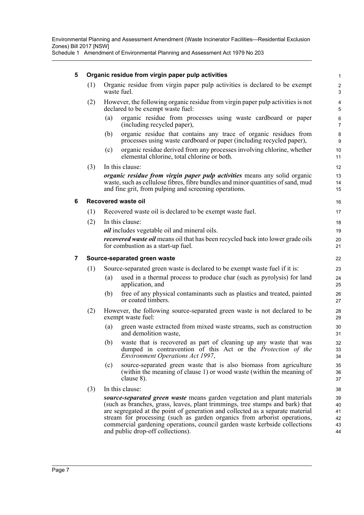### **5 Organic residue from virgin paper pulp activities**

(1) Organic residue from virgin paper pulp activities is declared to be exempt waste fuel.

- (2) However, the following organic residue from virgin paper pulp activities is not declared to be exempt waste fuel:
	- (a) organic residue from processes using waste cardboard or paper (including recycled paper),
	- (b) organic residue that contains any trace of organic residues from processes using waste cardboard or paper (including recycled paper),
	- (c) organic residue derived from any processes involving chlorine, whether elemental chlorine, total chlorine or both.

(3) In this clause: *organic residue from virgin paper pulp activities* means any solid organic waste, such as cellulose fibres, fibre bundles and minor quantities of sand, mud and fine grit, from pulping and screening operations.

### **6 Recovered waste oil**

- (1) Recovered waste oil is declared to be exempt waste fuel.
- (2) In this clause: *oil* includes vegetable oil and mineral oils. *recovered waste oil* means oil that has been recycled back into lower grade oils for combustion as a start-up fuel.

### **7 Source-separated green waste**

- (1) Source-separated green waste is declared to be exempt waste fuel if it is:
	- (a) used in a thermal process to produce char (such as pyrolysis) for land application, and
	- (b) free of any physical contaminants such as plastics and treated, painted or coated timbers.
- (2) However, the following source-separated green waste is not declared to be exempt waste fuel:
	- (a) green waste extracted from mixed waste streams, such as construction and demolition waste,
	- (b) waste that is recovered as part of cleaning up any waste that was dumped in contravention of this Act or the *Protection of the Environment Operations Act 1997*,
	- (c) source-separated green waste that is also biomass from agriculture (within the meaning of clause 1) or wood waste (within the meaning of clause 8).
- (3) In this clause:

*source-separated green waste* means garden vegetation and plant materials (such as branches, grass, leaves, plant trimmings, tree stumps and bark) that are segregated at the point of generation and collected as a separate material stream for processing (such as garden organics from arborist operations, commercial gardening operations, council garden waste kerbside collections and public drop-off collections).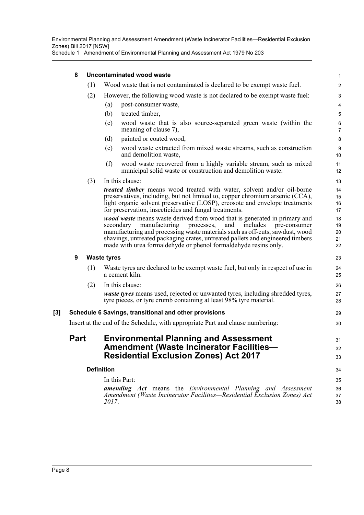## **8 Uncontaminated wood waste**

|       | 8           | Uncontaminated wood waste |                                                 |                                                                                                                                                                                                                                                                                                                                                                                               |                            |  |
|-------|-------------|---------------------------|-------------------------------------------------|-----------------------------------------------------------------------------------------------------------------------------------------------------------------------------------------------------------------------------------------------------------------------------------------------------------------------------------------------------------------------------------------------|----------------------------|--|
|       |             | (1)                       |                                                 | Wood waste that is not contaminated is declared to be exempt waste fuel.                                                                                                                                                                                                                                                                                                                      | $\boldsymbol{2}$           |  |
|       |             | (2)                       |                                                 | However, the following wood waste is not declared to be exempt waste fuel:                                                                                                                                                                                                                                                                                                                    | $\ensuremath{\mathsf{3}}$  |  |
|       |             |                           | (a)                                             | post-consumer waste,                                                                                                                                                                                                                                                                                                                                                                          | 4                          |  |
|       |             |                           | (b)                                             | treated timber,                                                                                                                                                                                                                                                                                                                                                                               | 5                          |  |
|       |             |                           | (c)                                             | wood waste that is also source-separated green waste (within the<br>meaning of clause 7),                                                                                                                                                                                                                                                                                                     | $\,6$<br>$\overline{7}$    |  |
|       |             |                           | (d)                                             | painted or coated wood,                                                                                                                                                                                                                                                                                                                                                                       | $\bf 8$                    |  |
|       |             |                           | (e)                                             | wood waste extracted from mixed waste streams, such as construction<br>and demolition waste,                                                                                                                                                                                                                                                                                                  | $\boldsymbol{9}$<br>10     |  |
|       |             |                           | (f)                                             | wood waste recovered from a highly variable stream, such as mixed<br>municipal solid waste or construction and demolition waste.                                                                                                                                                                                                                                                              | 11<br>12                   |  |
|       |             | (3)                       |                                                 | In this clause:                                                                                                                                                                                                                                                                                                                                                                               | 13                         |  |
|       |             |                           |                                                 | <i>treated timber</i> means wood treated with water, solvent and/or oil-borne<br>preservatives, including, but not limited to, copper chromium arsenic (CCA),<br>light organic solvent preservative (LOSP), creosote and envelope treatments<br>for preservation, insecticides and fungal treatments.                                                                                         | 14<br>15<br>16<br>17       |  |
|       |             |                           |                                                 | wood waste means waste derived from wood that is generated in primary and<br>manufacturing<br>includes<br>secondary<br>processes,<br>and<br>pre-consumer<br>manufacturing and processing waste materials such as off-cuts, sawdust, wood<br>shavings, untreated packaging crates, untreated pallets and engineered timbers<br>made with urea formaldehyde or phenol formaldehyde resins only. | 18<br>19<br>20<br>21<br>22 |  |
|       | 9           | <b>Waste tyres</b>        |                                                 |                                                                                                                                                                                                                                                                                                                                                                                               |                            |  |
|       |             | (1)                       |                                                 | Waste tyres are declared to be exempt waste fuel, but only in respect of use in<br>a cement kiln.                                                                                                                                                                                                                                                                                             | 24<br>25                   |  |
|       |             | (2)                       |                                                 | In this clause:                                                                                                                                                                                                                                                                                                                                                                               | 26                         |  |
|       |             |                           |                                                 | <i>waste tyres</i> means used, rejected or unwanted tyres, including shredded tyres,<br>tyre pieces, or tyre crumb containing at least 98% tyre material.                                                                                                                                                                                                                                     | 27<br>28                   |  |
| $[3]$ |             |                           |                                                 | Schedule 6 Savings, transitional and other provisions                                                                                                                                                                                                                                                                                                                                         | 29                         |  |
|       |             |                           |                                                 | Insert at the end of the Schedule, with appropriate Part and clause numbering:                                                                                                                                                                                                                                                                                                                | 30                         |  |
|       | <b>Part</b> |                           |                                                 | <b>Environmental Planning and Assessment</b>                                                                                                                                                                                                                                                                                                                                                  | 31                         |  |
|       |             |                           | <b>Amendment (Waste Incinerator Facilities-</b> |                                                                                                                                                                                                                                                                                                                                                                                               |                            |  |
|       |             |                           |                                                 | <b>Residential Exclusion Zones) Act 2017</b>                                                                                                                                                                                                                                                                                                                                                  | 33                         |  |
|       |             |                           | <b>Definition</b>                               |                                                                                                                                                                                                                                                                                                                                                                                               | 34                         |  |
|       |             |                           |                                                 | In this Part:                                                                                                                                                                                                                                                                                                                                                                                 | 35                         |  |
|       |             |                           | 2017.                                           | <b>amending Act</b> means the <i>Environmental Planning and Assessment</i><br>Amendment (Waste Incinerator Facilities—Residential Exclusion Zones) Act                                                                                                                                                                                                                                        | 36<br>37<br>38             |  |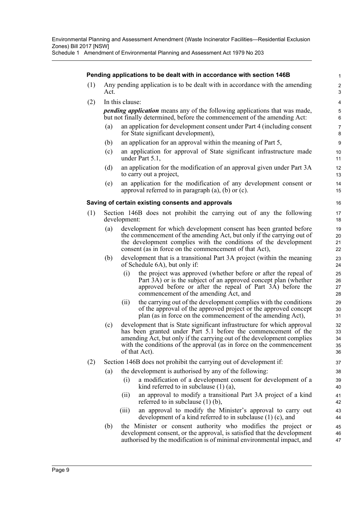### **Pending applications to be dealt with in accordance with section 146B**

- (1) Any pending application is to be dealt with in accordance with the amending Act.
- (2) In this clause:

*pending application* means any of the following applications that was made, but not finally determined, before the commencement of the amending Act:

- (a) an application for development consent under Part 4 (including consent for State significant development),
- (b) an application for an approval within the meaning of Part 5,
- (c) an application for approval of State significant infrastructure made under Part 5.1,
- (d) an application for the modification of an approval given under Part 3A to carry out a project,
- (e) an application for the modification of any development consent or approval referred to in paragraph (a), (b) or (c).

#### **Saving of certain existing consents and approvals**

- (1) Section 146B does not prohibit the carrying out of any the following development:
	- (a) development for which development consent has been granted before the commencement of the amending Act, but only if the carrying out of the development complies with the conditions of the development consent (as in force on the commencement of that Act),
	- (b) development that is a transitional Part 3A project (within the meaning of Schedule 6A), but only if:
		- (i) the project was approved (whether before or after the repeal of Part 3A) or is the subject of an approved concept plan (whether approved before or after the repeal of Part 3A) before the commencement of the amending Act, and
		- (ii) the carrying out of the development complies with the conditions of the approval of the approved project or the approved concept plan (as in force on the commencement of the amending Act),
	- (c) development that is State significant infrastructure for which approval has been granted under Part 5.1 before the commencement of the amending Act, but only if the carrying out of the development complies with the conditions of the approval (as in force on the commencement of that Act).
- (2) Section 146B does not prohibit the carrying out of development if:
	- (a) the development is authorised by any of the following:
		- (i) a modification of a development consent for development of a kind referred to in subclause (1) (a),
		- (ii) an approval to modify a transitional Part 3A project of a kind referred to in subclause (1) (b),
		- (iii) an approval to modify the Minister's approval to carry out development of a kind referred to in subclause (1) (c), and
	- (b) the Minister or consent authority who modifies the project or development consent, or the approval, is satisfied that the development authorised by the modification is of minimal environmental impact, and